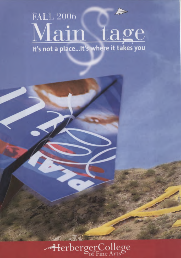# **FALL 2006** Main tage It's not a place...It's where it takes you

HerbergerCollege

**The State**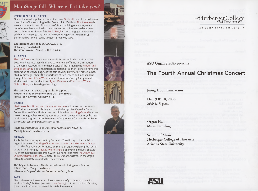### MainStage fall. Where will it take *yo*

### LYRIC OPERA THEATRE

One of the most popular musicals of all time, Godspell, tells of the last seven days of Jesus' life according to the Gospel of St. Matthew.The Scarecrow is an operatic adaptation of Hawthorne's tale of a living scarecrow, created out of malevolence, as he discovers love and what it means to be human and to determine his own fate. Hello, Jerry! A special engagement concert celebrating the songs and lyrics of Broadway legend Jerry Herman as performed by some of today's biggest Broadway stars.

**Godspell** runs Sept. 29 & 3o; Oct. 1, 4 & 6-8. Hello Jerry! runs Oct. 28. The Scarecrow runs Nov.17 & 18; Dec.1 & 2.

### THEATRE

The Lost Ones is set in a post-apocalyptic future and tells the story of two boys who have lost their childhood to war, while offering an affirmation of the resilience, optimism and generosity of the human spirit. Haroun and the Sea of Stories, a bold theatrical adaptation of Salman Rushdie's novelistic celebration of storytelling, tells the tale of a boy's love for his father, punctuated by messages about the importance of free speech and independent thought. Festival of New Work premiers four new plays by ASU graduate students with two productions, Skylark Dreams and The House Where Nobody Lives, and two staged readings.

The Lost Ones runs Sept. 21, **23, 24,** & 28-30; Oct. 1. Haroun and the Sea of Stories runs Oct. 13-15 & 19-22. Festival of New Work runs Nov. 9-19.

### DANCE

Rhythms of Life: Drums and Dances from Africa explores African influence on Western dance with visiting artists Agbe Nunya, Axe Capoeira, Cuban Connection, Joel Valentin-Martinez and Sule Wilson. Moving Ground features guest choreographer Nora Chipaumire of the Urban Bush Women, who sets work combining the spiritual elements of traditional African and Caribbean dance with contemporary, Western dance.

Rhythms of Life: Drums and Dances from Africa runs Nov. 3-5. Moving Ground runs Nov.16-19.

#### **ORGAN**

An Italian baroque organ built by Domenico Traeri in 1742 joins the Fritts organ this season.The King of Instruments Meets the Instrument of Kings marks the first public performance on the Traeri organ, exploring the sounds of organ and trumpet. It Takes Two to Tango is an evening of duets showcasing the magnificent Fritts organ, with four hands and feet! The 4th Annual Organ Christmas Concert celebrates the music of Christmas in the Organ Hall, appropriately decorated for the occasion.

The King of Instruments Meets the Instrument of Kings runs Sept. 24. It Takes Two to Tango runs Nov. 5. 4th Annual Organ Christmas Concert runs Dec. 9 & 10.

#### **JAll**

New this season, the series explores the music of jazz legends as well as works of today's hottest jazz artists. Joe Corral, jazz flutist and local favorite, joins the ASU Concert Jazz Band for a fabulous evening.





-FierbergerCollege of Fine Arts

#### **ARIZONA STATE UNIVERSITY**

ASU Organ Studio presents

### The Fourth Annual Christmas Concert

Jeong Hoon Kim, tenor

Dec. 9 & 10, 2006 2:30 & 5 p.m.

Organ Hall Music Building

School of Music Herberger College of Fine Arts Arizona State University

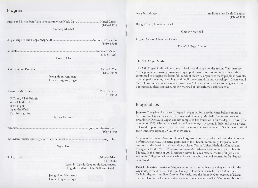Program<br>Fugato and Pres Fugato and Presto from Variations sur un vieux Noël, Op. 20 **Marcel Dupre** Marcel Dupré

Kimberly Marshall

(1510-1566)

Pastorale Domenico Zipoli (1688-1726)

Jooyean Cha

Gesù Bambino Pastorale Pietro A. Yon

(1886-1943)

Jeong Hoon Kim, tenor Homer Ferguson, organ

Christmas Miniatures David Schelat

(b. 1955)

0 Come, All Ye Faithful What Child is This? Silent Night Joy to the World My Dancing Day

Patrick Hawkins

Pastorale Johann Sebastian Bach (1685-1750)

Improvised Fantasy and Fugue on "Puer natus est" Skye Hart

Skye Hart

0 Holy Night Adophe Adam 1803-1856)

> Lyrics by Placide Cappeau de Roquemaure English translation John Sullivan Dwight

Jeong Hoon Kim, tenor Homer Ferguson, organ Away in a Manger traditional/arr. Keith Chapman

(1886-1971) Bring a Torch, Jeannette Isabella

Kimberly Marshall

(1945-1989)

Un gai bergeir (The Happy Shepherd) **Antonio de Cabezon** Antonio de Cabezón <sup>Organ</sup> Duets on Christmas Carols

The ASU Organ Studio

### **The ASU Organ Studio**

The ASU Organ Studio wishes you all a healthy and happy holiday season. Your presence here supports our thriving program of organ performance and community service. We are committed to bringing the beautiful sounds of the Fritts organ to as many people as possible, through performances, recordings, and public demonstrations and workshops. If you would like to know more about the organ program at ASU and ways in which you might support our outreach, please contact Kimberly Marshall at kimberly.marshall@asu.edu.

### Biographies

**Jooyean Cha** gained her master's degree in organ performance in Korea before coming to ASU to complete another master's degree with Kimberly Marshall. She is now working towards her D.M.A. in Organ and has completed her course work for the degree. During the summer of 2005, Cha participated in the Smarano organ academy in Italy, and she is pleased to have the opportunity to play the 1742 Traeri organ in today's concert. She is the organist of Holy Innocents Episcopal Church in Phoenix.

A native of St. Louis, Missouri, **Homer Ferguson** is currently a doctoral candidate in organ performance at ASU. An active performer in the Phoenix community, Ferguson holds positions as the Music Associate and Organist at Central United Methodist Church and as Organist for the Mater Misericordiae Latin Mass Mission Community of the Phoenix Diocese. In the spring of 2004, Ferguson served his alma mater as visiting full professor at Illinois College in Jacksonville where he was the sabbatical replacement for Dr. Rudolf Zuiderveld.

Patrick Hawkins, a native of Virginia, is currently the graduate teaching assistant for the Organ department in the Herberger College of Fine Arts, where he is a D.M.A. student. He holds degrees from East Carolina University and the Peabody Conservatory of Music. Hawkins has been a featured performer at such major venues as The Washington National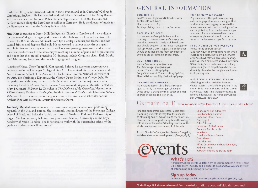Cathedral, U Eglise St.Etienne du Mont in Paris, France, and at St. Catharine's College in Cambridge, England. He has recorded works of Johann Sebastian Bach for Arkay Records and has been heard on National Public Radio's "Pipedreams." In 2007, Hawkins will perform recitals along the East Coast as well as in Germany. He is the director of music for the Episcopal Church of the Nativity in Scottsdale.

**Skye Hart** is organist at Desert Hills Presbyterian Church in Carefree and is a candidate for the master's degree in organ performance in the Herberger College of Fine Arts. He received his B.A. in Music and French from Lyon College, and his past teachers include Russell Stinson and Stephen Shebenik. He has worked in various capacities as organist and choir director for many churches, as well as accompanying many voice students and theatrical productions. He has also enjoyed teaching a number of piano and organ students and hopes that they are still practicing. His interests include Gregorian chant, Early Music, the 17th century, Jansenism, the French language and penguins.

A native of Korea, Tenor **Jeong H. Kim** recently finished his doctorate degree in vocal performance in the Herberger College of Fine Arts. He received his master's degree at the North Carolina School of the Arts, and his bachelor's at Korean National University of the Arts, also obtaining a Diploma at the Viterbo Opera Institute in Viterbo, Italy. He has performed with many orchestras as both oratorio soloist and in major opera roles, including Handel's *Messiah,* Bach's *B-minor Mass,* Gounod's *Requiem,* Mozart's *Coronation Mass,* Bruckner's *Te Deum,* Le Chevalier in *The Dialogues of the Carmelites,* Nemorino in *L'Elisir d'amore,* Tamino in *Zauberfliite,* Aufide in *Beatrice di Tenda,* and Orlando in *Orlando Paladino.* He is very active performing as a tenor in this area, and is scheduled for the Anthem Fine Arts Festival in January for Arizona Opera.

**Kimberly Marshall** maintains an active career as an organist and scholar, performing regularly in the U.S. and Europe. She is currently interim director of the Herberger College School of Music and holds the Patricia and Leonard Goldman Endowed Professorship of Organ. She has previously held teaching positions at Stanford University and the Royal Academy of Music, London. She is honored to work with the outstanding talents of the graduate students you will hear today!

### GENERAL INFORMATION

### **BOX OFFICE**

Paul V. Galvin Playhouse/Nelson Fine Arts Center, 480-965-6447. Hours:10:30 a.m.-6 p.m., Tuesday — Friday; noon-4 p.m., Saturday.

### **FACILITY POLICIES**

In observance of copyright laws and as a courtesy to patrons, the use of cameras and recording devices is strictly prohibited; cameras should be given to the house manager to lock up. Watch alarms, pagers and cell phones should be turned off. No food, beverages or smoking are permitted in the facilities.

### LOST AND FOUND

Galvin Playhouse: 480-965-6447 ASU Gammage:480-965-3497 Lyceum Theatre: 480-965-6447 Evelyn Smith Music Theatre: 480-965-6603 Physical Education Bldg. East: 480-965-6447

### **CHANGE OF ADDRESS**

MainStage Season subscribers are encouraged to notify the Herberger College Box Office about a change of their street or e-mail address by calling 480-965-6536.

## $Curtain~call!$  New members of the Director's Circle – please take a bow!

Financial support from Director's Circle helps promising students as they face the expense of obtaining an arts education. At the same time, Director's Circle support strengthens the college's role as one of the nation's leading centers for the study, practice and development of the arts.

To join Director's Circle, contact Deanna Stulgaitis, assistant director of development, 480-965-8985.



### **EMERGENCY MESSAGES**

Physicians and other patrons expecting calls during a performance must give their seat locations and paging devices to the house manager. All checked paging devices can be picked up from the house manager afterward. Patrons who need to make an emergency phone call should contact an usher or the house manager for assistance.

### **SPECIAL NEEDS FOR PATRONS**

Please notify Box Office staff  $(480-965-6447)$  of any specific needs when purchasing tickets.The following services are offered: wheelchair accessible seating, assistive listening devices and ASL Interpretation at designated performances. Parking spaces designated for patrons who have a disability placard or license plate are located in all parking lots.

### ASSISTIVE LISTENING SYSTEM

A hearing-impaired assistive listening device system is available for patrons in the Evelyn Smith Music Theatre and the Galvin Playhouse. There is no charge for its use. To reserve a device, call the Herberger College Box Office, 480-965-6447.



Charles and Kim Adornetto David and Gail Burstein Linda and Steven Cravens Paul Dygert Peter Gilmour James and Ruth Gourley Dora and Bernie Jacobs John Lujan David and Donna Mercier Carol Meyers Tom Phinney Alfred Cocanower and Kathleen Reilly Beth Vershure Robert Williford and Stacey Bonn

### What's Hot?

Herberger College events updates right to your computer. e-vents is sent via e-mail every Thursday and includes 10 days and two weekends worth of entertaining and exciting fine arts events.

### **Sign up today!**

herbergercollege.asu.edu/eventssignup.html, or call 480-965-1554.

**MainStage tickets on sale now! For more information about individual shows and**